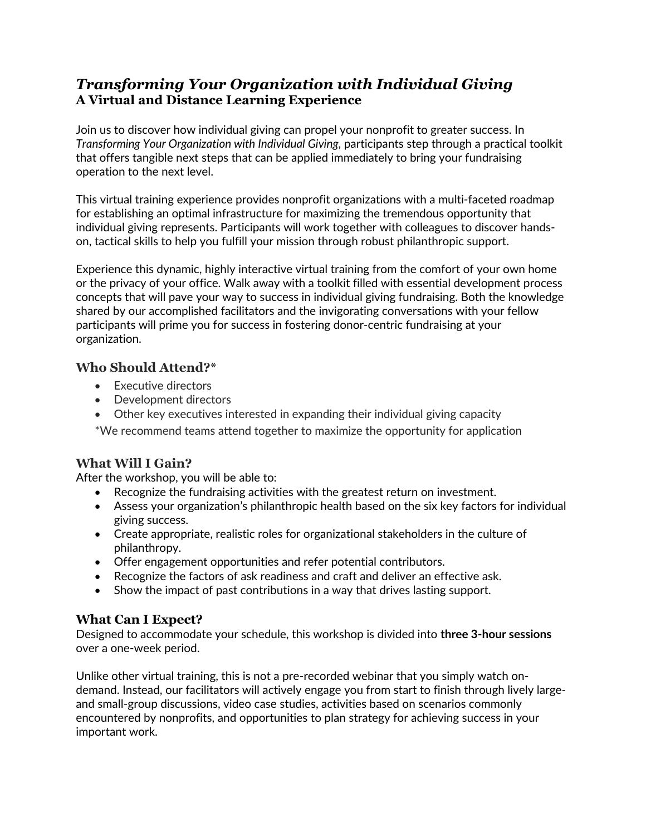# *Transforming Your Organization with Individual Giving*  **A Virtual and Distance Learning Experience**

Join us to discover how individual giving can propel your nonprofit to greater success. In *Transforming Your Organization with Individual Giving*, participants step through a practical toolkit that offers tangible next steps that can be applied immediately to bring your fundraising operation to the next level.

This virtual training experience provides nonprofit organizations with a multi-faceted roadmap for establishing an optimal infrastructure for maximizing the tremendous opportunity that individual giving represents. Participants will work together with colleagues to discover handson, tactical skills to help you fulfill your mission through robust philanthropic support.

Experience this dynamic, highly interactive virtual training from the comfort of your own home or the privacy of your office. Walk away with a toolkit filled with essential development process concepts that will pave your way to success in individual giving fundraising. Both the knowledge shared by our accomplished facilitators and the invigorating conversations with your fellow participants will prime you for success in fostering donor-centric fundraising at your organization.

## **Who Should Attend?\***

- Executive directors
- Development directors
- Other key executives interested in expanding their individual giving capacity

\*We recommend teams attend together to maximize the opportunity for application

# **What Will I Gain?**

After the workshop, you will be able to:

- Recognize the fundraising activities with the greatest return on investment.
- Assess your organization's philanthropic health based on the six key factors for individual giving success.
- Create appropriate, realistic roles for organizational stakeholders in the culture of philanthropy.
- Offer engagement opportunities and refer potential contributors.
- Recognize the factors of ask readiness and craft and deliver an effective ask.
- Show the impact of past contributions in a way that drives lasting support.

# **What Can I Expect?**

Designed to accommodate your schedule, this workshop is divided into **three 3-hour sessions** over a one-week period.

Unlike other virtual training, this is not a pre-recorded webinar that you simply watch ondemand. Instead, our facilitators will actively engage you from start to finish through lively largeand small-group discussions, video case studies, activities based on scenarios commonly encountered by nonprofits, and opportunities to plan strategy for achieving success in your important work.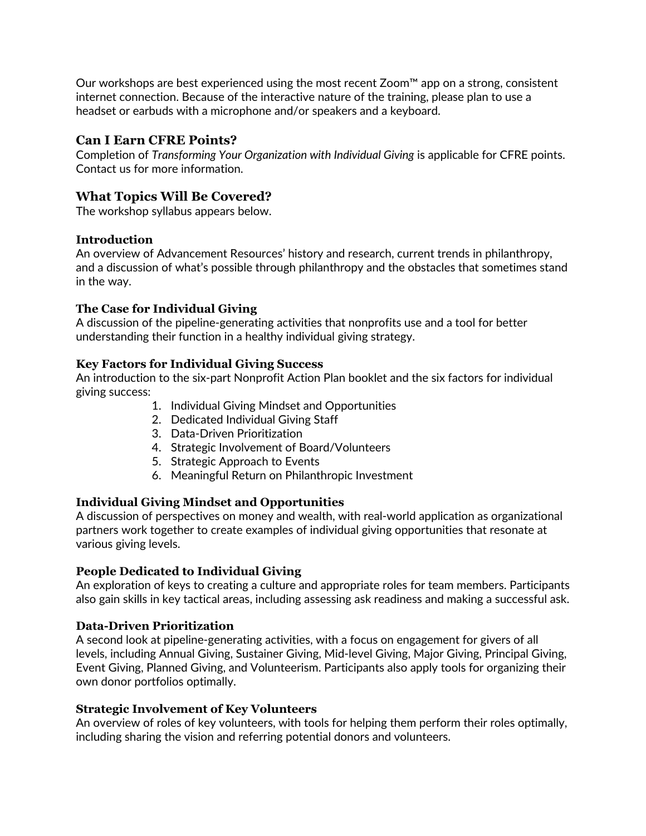Our workshops are best experienced using the most recent Zoom™ app on a strong, consistent internet connection. Because of the interactive nature of the training, please plan to use a headset or earbuds with a microphone and/or speakers and a keyboard.

### **Can I Earn CFRE Points?**

Completion of *Transforming Your Organization with Individual Giving* is applicable for CFRE points. Contact us for more information.

## **What Topics Will Be Covered?**

The workshop syllabus appears below.

#### **Introduction**

An overview of Advancement Resources' history and research, current trends in philanthropy, and a discussion of what's possible through philanthropy and the obstacles that sometimes stand in the way.

#### **The Case for Individual Giving**

A discussion of the pipeline-generating activities that nonprofits use and a tool for better understanding their function in a healthy individual giving strategy.

#### **Key Factors for Individual Giving Success**

An introduction to the six-part Nonprofit Action Plan booklet and the six factors for individual giving success:

- 1. Individual Giving Mindset and Opportunities
- 2. Dedicated Individual Giving Staff
- 3. Data-Driven Prioritization
- 4. Strategic Involvement of Board/Volunteers
- 5. Strategic Approach to Events
- 6. Meaningful Return on Philanthropic Investment

#### **Individual Giving Mindset and Opportunities**

A discussion of perspectives on money and wealth, with real-world application as organizational partners work together to create examples of individual giving opportunities that resonate at various giving levels.

#### **People Dedicated to Individual Giving**

An exploration of keys to creating a culture and appropriate roles for team members. Participants also gain skills in key tactical areas, including assessing ask readiness and making a successful ask.

#### **Data-Driven Prioritization**

A second look at pipeline-generating activities, with a focus on engagement for givers of all levels, including Annual Giving, Sustainer Giving, Mid-level Giving, Major Giving, Principal Giving, Event Giving, Planned Giving, and Volunteerism. Participants also apply tools for organizing their own donor portfolios optimally.

#### **Strategic Involvement of Key Volunteers**

An overview of roles of key volunteers, with tools for helping them perform their roles optimally, including sharing the vision and referring potential donors and volunteers.